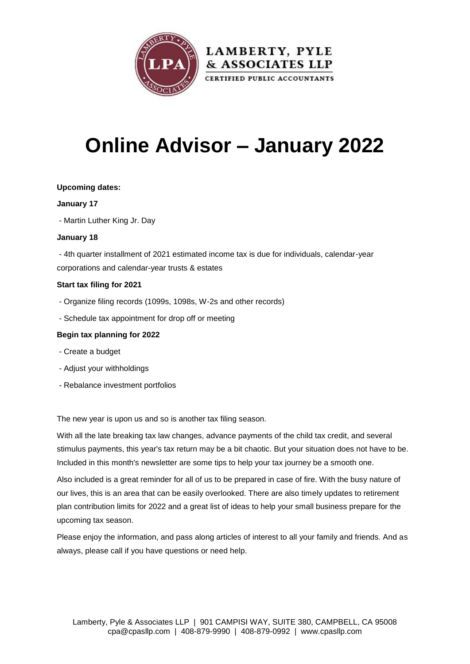

# **Online Advisor – January 2022**

#### **Upcoming dates:**

#### **January 17**

- Martin Luther King Jr. Day

#### **January 18**

- 4th quarter installment of 2021 estimated income tax is due for individuals, calendar-year corporations and calendar-year trusts & estates

#### **Start tax filing for 2021**

- Organize filing records (1099s, 1098s, W-2s and other records)
- Schedule tax appointment for drop off or meeting

#### **Begin tax planning for 2022**

- Create a budget
- Adjust your withholdings
- Rebalance investment portfolios

The new year is upon us and so is another tax filing season.

With all the late breaking tax law changes, advance payments of the child tax credit, and several stimulus payments, this year's tax return may be a bit chaotic. But your situation does not have to be. Included in this month's newsletter are some tips to help your tax journey be a smooth one.

Also included is a great reminder for all of us to be prepared in case of fire. With the busy nature of our lives, this is an area that can be easily overlooked. There are also timely updates to retirement plan contribution limits for 2022 and a great list of ideas to help your small business prepare for the upcoming tax season.

Please enjoy the information, and pass along articles of interest to all your family and friends. And as always, please call if you have questions or need help.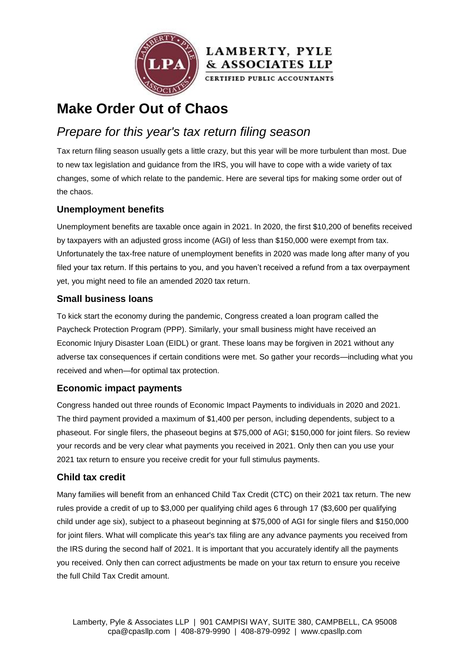



# **Make Order Out of Chaos**

### *Prepare for this year's tax return filing season*

Tax return filing season usually gets a little crazy, but this year will be more turbulent than most. Due to new tax legislation and guidance from the IRS, you will have to cope with a wide variety of tax changes, some of which relate to the pandemic. Here are several tips for making some order out of the chaos.

#### **Unemployment benefits**

Unemployment benefits are taxable once again in 2021. In 2020, the first \$10,200 of benefits received by taxpayers with an adjusted gross income (AGI) of less than \$150,000 were exempt from tax. Unfortunately the tax-free nature of unemployment benefits in 2020 was made long after many of you filed your tax return. If this pertains to you, and you haven't received a refund from a tax overpayment yet, you might need to file an amended 2020 tax return.

#### **Small business loans**

To kick start the economy during the pandemic, Congress created a loan program called the Paycheck Protection Program (PPP). Similarly, your small business might have received an Economic Injury Disaster Loan (EIDL) or grant. These loans may be forgiven in 2021 without any adverse tax consequences if certain conditions were met. So gather your records—including what you received and when—for optimal tax protection.

#### **Economic impact payments**

Congress handed out three rounds of Economic Impact Payments to individuals in 2020 and 2021. The third payment provided a maximum of \$1,400 per person, including dependents, subject to a phaseout. For single filers, the phaseout begins at \$75,000 of AGI; \$150,000 for joint filers. So review your records and be very clear what payments you received in 2021. Only then can you use your 2021 tax return to ensure you receive credit for your full stimulus payments.

#### **Child tax credit**

Many families will benefit from an enhanced Child Tax Credit (CTC) on their 2021 tax return. The new rules provide a credit of up to \$3,000 per qualifying child ages 6 through 17 (\$3,600 per qualifying child under age six), subject to a phaseout beginning at \$75,000 of AGI for single filers and \$150,000 for joint filers. What will complicate this year's tax filing are any advance payments you received from the IRS during the second half of 2021. It is important that you accurately identify all the payments you received. Only then can correct adjustments be made on your tax return to ensure you receive the full Child Tax Credit amount.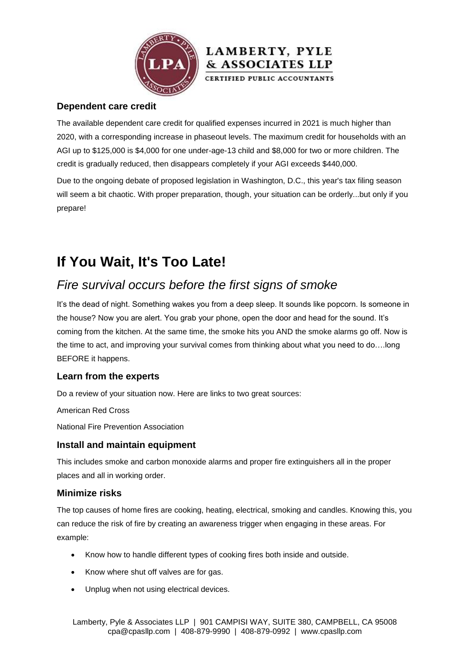

#### **Dependent care credit**

The available dependent care credit for qualified expenses incurred in 2021 is much higher than 2020, with a corresponding increase in phaseout levels. The maximum credit for households with an AGI up to \$125,000 is \$4,000 for one under-age-13 child and \$8,000 for two or more children. The credit is gradually reduced, then disappears completely if your AGI exceeds \$440,000.

& ASSOCIATES LLP

Due to the ongoing debate of proposed legislation in Washington, D.C., this year's tax filing season will seem a bit chaotic. With proper preparation, though, your situation can be orderly...but only if you prepare!

# **If You Wait, It's Too Late!**

### *Fire survival occurs before the first signs of smoke*

It's the dead of night. Something wakes you from a deep sleep. It sounds like popcorn. Is someone in the house? Now you are alert. You grab your phone, open the door and head for the sound. It's coming from the kitchen. At the same time, the smoke hits you AND the smoke alarms go off. Now is the time to act, and improving your survival comes from thinking about what you need to do….long BEFORE it happens.

#### **Learn from the experts**

Do a review of your situation now. Here are links to two great sources:

[American Red Cross](https://www.redcross.org/get-help/how-to-prepare-for-emergencies/types-of-emergencies/fire.html)

[National Fire Prevention Association](https://www.nfpa.org/Public-Education)

#### **Install and maintain equipment**

This includes smoke and carbon monoxide alarms and proper fire extinguishers all in the proper places and all in working order.

#### **Minimize risks**

The top causes of home fires are cooking, heating, electrical, smoking and candles. Knowing this, you can reduce the risk of fire by creating an awareness trigger when engaging in these areas. For example:

- Know how to handle different types of cooking fires both inside and outside.
- Know where shut off valves are for gas.
- Unplug when not using electrical devices.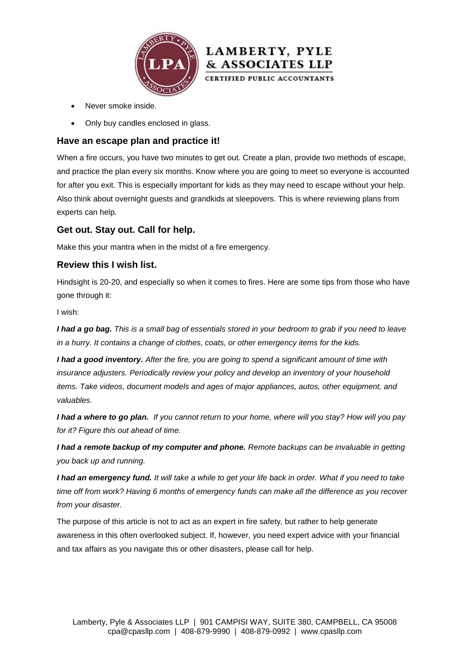



- Never smoke inside.
- Only buy candles enclosed in glass.

#### **Have an escape plan and practice it!**

When a fire occurs, you have two minutes to get out. Create a plan, provide two methods of escape, and practice the plan every six months. Know where you are going to meet so everyone is accounted for after you exit. This is especially important for kids as they may need to escape without your help. Also think about overnight guests and grandkids at sleepovers. This is where reviewing plans from experts can help.

#### **Get out. Stay out. Call for help.**

Make this your mantra when in the midst of a fire emergency.

#### **Review this I wish list.**

Hindsight is 20-20, and especially so when it comes to fires. Here are some tips from those who have gone through it:

I wish:

*I had a go bag. This is a small bag of essentials stored in your bedroom to grab if you need to leave in a hurry. It contains a change of clothes, coats, or other emergency items for the kids.*

*I had a good inventory. After the fire, you are going to spend a significant amount of time with insurance adjusters. Periodically review your policy and develop an inventory of your household items. Take videos, document models and ages of major appliances, autos, other equipment, and valuables.*

*I had a where to go plan. If you cannot return to your home, where will you stay? How will you pay for it? Figure this out ahead of time.*

*I had a remote backup of my computer and phone. Remote backups can be invaluable in getting you back up and running.*

*I had an emergency fund. It will take a while to get your life back in order. What if you need to take time off from work? Having 6 months of emergency funds can make all the difference as you recover from your disaster.*

The purpose of this article is not to act as an expert in fire safety, but rather to help generate awareness in this often overlooked subject. If, however, you need expert advice with your financial and tax affairs as you navigate this or other disasters, please call for help.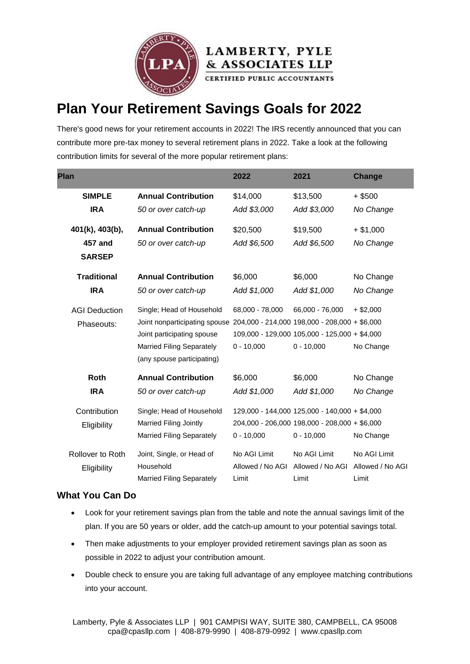



CERTIFIED PUBLIC ACCOUNTANTS

# **Plan Your Retirement Savings Goals for 2022**

There's good news for your retirement accounts in 2022! The IRS recently announced that you can contribute more pre-tax money to several retirement plans in 2022. Take a look at the following contribution limits for several of the more popular retirement plans:

| <b>Plan</b>          |                                                                             | 2022             | 2021                                          | <b>Change</b>    |
|----------------------|-----------------------------------------------------------------------------|------------------|-----------------------------------------------|------------------|
| <b>SIMPLE</b>        | <b>Annual Contribution</b>                                                  | \$14,000         | \$13,500                                      | $+$ \$500        |
| <b>IRA</b>           | 50 or over catch-up                                                         | Add \$3,000      | Add \$3,000                                   | No Change        |
| 401(k), 403(b),      | <b>Annual Contribution</b>                                                  | \$20,500         | \$19,500                                      | $+ $1,000$       |
| 457 and              | 50 or over catch-up                                                         | Add \$6,500      | Add \$6,500                                   | No Change        |
| <b>SARSEP</b>        |                                                                             |                  |                                               |                  |
| <b>Traditional</b>   | <b>Annual Contribution</b>                                                  | \$6,000          | \$6,000                                       | No Change        |
| <b>IRA</b>           | 50 or over catch-up                                                         | Add \$1,000      | Add \$1,000                                   | No Change        |
| <b>AGI Deduction</b> | Single; Head of Household                                                   | 68,000 - 78,000  | 66,000 - 76,000                               | $+$ \$2,000      |
| Phaseouts:           | Joint nonparticipating spouse 204,000 - 214,000 198,000 - 208,000 + \$6,000 |                  |                                               |                  |
|                      | Joint participating spouse                                                  |                  | 109,000 - 129,000 105,000 - 125,000 + \$4,000 |                  |
|                      | <b>Married Filing Separately</b>                                            | $0 - 10,000$     | $0 - 10,000$                                  | No Change        |
|                      | (any spouse participating)                                                  |                  |                                               |                  |
| Roth                 | <b>Annual Contribution</b>                                                  | \$6,000          | \$6,000                                       | No Change        |
| <b>IRA</b>           | 50 or over catch-up                                                         | Add \$1,000      | Add \$1,000                                   | No Change        |
| Contribution         | Single; Head of Household                                                   |                  | 129,000 - 144,000 125,000 - 140,000 + \$4,000 |                  |
| Eligibility          | Married Filing Jointly                                                      |                  | 204,000 - 206,000 198,000 - 208,000 + \$6,000 |                  |
|                      | <b>Married Filing Separately</b>                                            | $0 - 10,000$     | $0 - 10,000$                                  | No Change        |
| Rollover to Roth     | Joint, Single, or Head of                                                   | No AGI Limit     | No AGI Limit                                  | No AGI Limit     |
| Eligibility          | Household                                                                   | Allowed / No AGI | Allowed / No AGI                              | Allowed / No AGI |
|                      | <b>Married Filing Separately</b>                                            | Limit            | Limit                                         | Limit            |

#### **What You Can Do**

- Look for your retirement savings plan from the table and note the annual savings limit of the plan. If you are 50 years or older, add the catch-up amount to your potential savings total.
- Then make adjustments to your employer provided retirement savings plan as soon as possible in 2022 to adjust your contribution amount.
- Double check to ensure you are taking full advantage of any employee matching contributions into your account.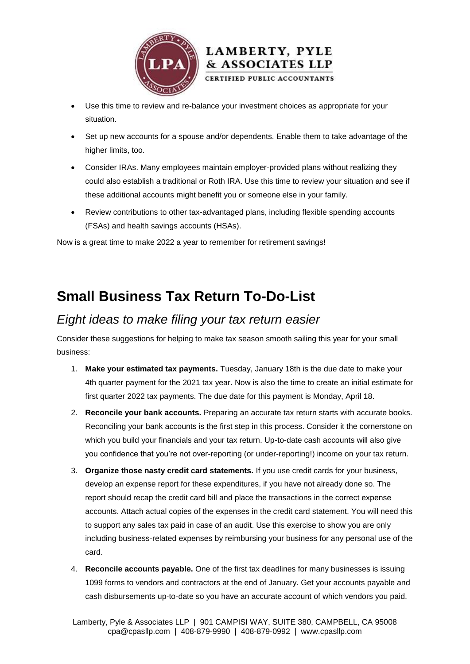



- Use this time to review and re-balance your investment choices as appropriate for your situation.
- Set up new accounts for a spouse and/or dependents. Enable them to take advantage of the higher limits, too.
- Consider IRAs. Many employees maintain employer-provided plans without realizing they could also establish a traditional or Roth IRA. Use this time to review your situation and see if these additional accounts might benefit you or someone else in your family.
- Review contributions to other tax-advantaged plans, including flexible spending accounts (FSAs) and health savings accounts (HSAs).

Now is a great time to make 2022 a year to remember for retirement savings!

# **Small Business Tax Return To-Do-List**

### *Eight ideas to make filing your tax return easier*

Consider these suggestions for helping to make tax season smooth sailing this year for your small business:

- 1. **Make your estimated tax payments.** Tuesday, January 18th is the due date to make your 4th quarter payment for the 2021 tax year. Now is also the time to create an initial estimate for first quarter 2022 tax payments. The due date for this payment is Monday, April 18.
- 2. **Reconcile your bank accounts.** Preparing an accurate tax return starts with accurate books. Reconciling your bank accounts is the first step in this process. Consider it the cornerstone on which you build your financials and your tax return. Up-to-date cash accounts will also give you confidence that you're not over-reporting (or under-reporting!) income on your tax return.
- 3. **Organize those nasty credit card statements.** If you use credit cards for your business, develop an expense report for these expenditures, if you have not already done so. The report should recap the credit card bill and place the transactions in the correct expense accounts. Attach actual copies of the expenses in the credit card statement. You will need this to support any sales tax paid in case of an audit. Use this exercise to show you are only including business-related expenses by reimbursing your business for any personal use of the card.
- 4. **Reconcile accounts payable.** One of the first tax deadlines for many businesses is issuing 1099 forms to vendors and contractors at the end of January. Get your accounts payable and cash disbursements up-to-date so you have an accurate account of which vendors you paid.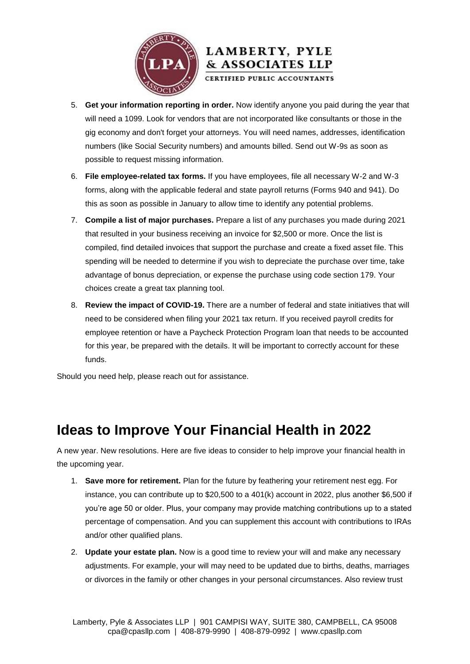

### **LAMBERTY, PYLE** & ASSOCIATES LLP

CERTIFIED PUBLIC ACCOUNTANTS

- 5. **Get your information reporting in order.** Now identify anyone you paid during the year that will need a 1099. Look for vendors that are not incorporated like consultants or those in the gig economy and don't forget your attorneys. You will need names, addresses, identification numbers (like Social Security numbers) and amounts billed. Send out W-9s as soon as possible to request missing information.
- 6. **File employee-related tax forms.** If you have employees, file all necessary W-2 and W-3 forms, along with the applicable federal and state payroll returns (Forms 940 and 941). Do this as soon as possible in January to allow time to identify any potential problems.
- 7. **Compile a list of major purchases.** Prepare a list of any purchases you made during 2021 that resulted in your business receiving an invoice for \$2,500 or more. Once the list is compiled, find detailed invoices that support the purchase and create a fixed asset file. This spending will be needed to determine if you wish to depreciate the purchase over time, take advantage of bonus depreciation, or expense the purchase using code section 179. Your choices create a great tax planning tool.
- 8. **Review the impact of COVID-19.** There are a number of federal and state initiatives that will need to be considered when filing your 2021 tax return. If you received payroll credits for employee retention or have a Paycheck Protection Program loan that needs to be accounted for this year, be prepared with the details. It will be important to correctly account for these funds.

Should you need help, please reach out for assistance.

### **Ideas to Improve Your Financial Health in 2022**

A new year. New resolutions. Here are five ideas to consider to help improve your financial health in the upcoming year.

- 1. **Save more for retirement.** Plan for the future by feathering your retirement nest egg. For instance, you can contribute up to \$20,500 to a 401(k) account in 2022, plus another \$6,500 if you're age 50 or older. Plus, your company may provide matching contributions up to a stated percentage of compensation. And you can supplement this account with contributions to IRAs and/or other qualified plans.
- 2. **Update your estate plan.** Now is a good time to review your will and make any necessary adjustments. For example, your will may need to be updated due to births, deaths, marriages or divorces in the family or other changes in your personal circumstances. Also review trust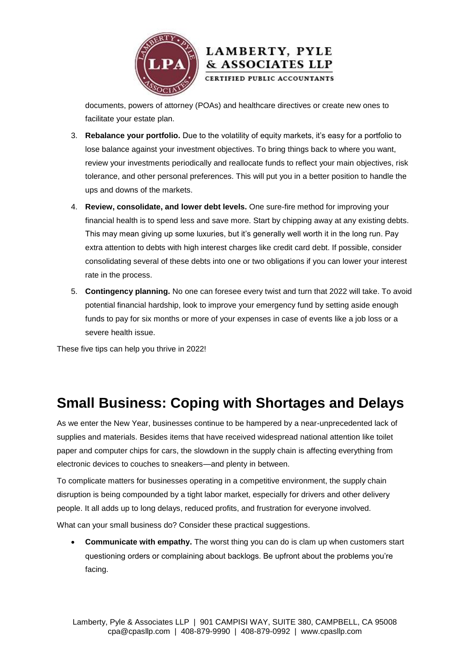

#### documents, powers of attorney (POAs) and healthcare directives or create new ones to facilitate your estate plan.

& ASSOCIATES LLP

- 3. **Rebalance your portfolio.** Due to the volatility of equity markets, it's easy for a portfolio to lose balance against your investment objectives. To bring things back to where you want, review your investments periodically and reallocate funds to reflect your main objectives, risk tolerance, and other personal preferences. This will put you in a better position to handle the ups and downs of the markets.
- 4. **Review, consolidate, and lower debt levels.** One sure-fire method for improving your financial health is to spend less and save more. Start by chipping away at any existing debts. This may mean giving up some luxuries, but it's generally well worth it in the long run. Pay extra attention to debts with high interest charges like credit card debt. If possible, consider consolidating several of these debts into one or two obligations if you can lower your interest rate in the process.
- 5. **Contingency planning.** No one can foresee every twist and turn that 2022 will take. To avoid potential financial hardship, look to improve your emergency fund by setting aside enough funds to pay for six months or more of your expenses in case of events like a job loss or a severe health issue.

These five tips can help you thrive in 2022!

### **Small Business: Coping with Shortages and Delays**

As we enter the New Year, businesses continue to be hampered by a near-unprecedented lack of supplies and materials. Besides items that have received widespread national attention like toilet paper and computer chips for cars, the slowdown in the supply chain is affecting everything from electronic devices to couches to sneakers—and plenty in between.

To complicate matters for businesses operating in a competitive environment, the supply chain disruption is being compounded by a tight labor market, especially for drivers and other delivery people. It all adds up to long delays, reduced profits, and frustration for everyone involved.

What can your small business do? Consider these practical suggestions.

 **Communicate with empathy.** The worst thing you can do is clam up when customers start questioning orders or complaining about backlogs. Be upfront about the problems you're facing.